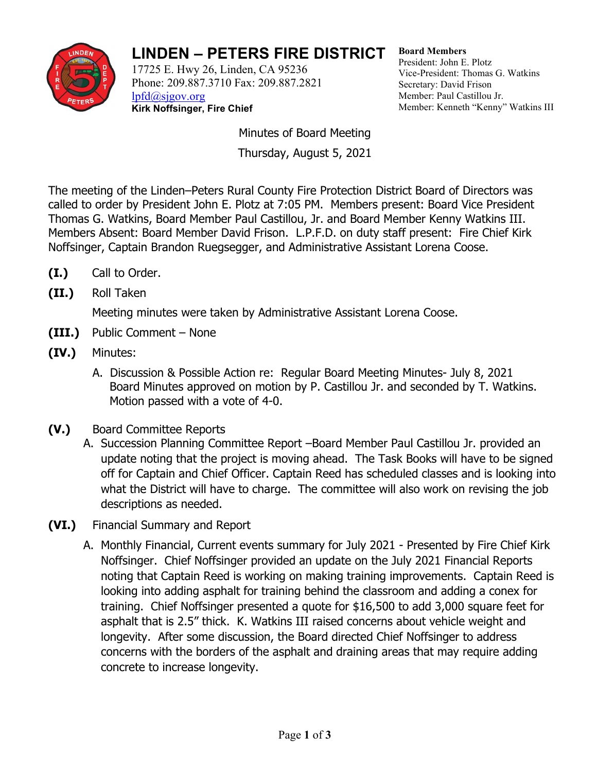

## **LINDEN – PETERS FIRE DISTRICT**

17725 E. Hwy 26, Linden, CA 95236 Phone: 209.887.3710 Fax: 209.887.2821 [lpfd@sjgov.org](mailto:lpfd@sjgov.org) **Kirk Noffsinger, Fire Chief**

**Board Members** President: John E. Plotz Vice-President: Thomas G. Watkins Secretary: David Frison Member: Paul Castillou Jr. Member: Kenneth "Kenny" Watkins III

Minutes of Board Meeting Thursday, August 5, 2021

The meeting of the Linden–Peters Rural County Fire Protection District Board of Directors was called to order by President John E. Plotz at 7:05 PM. Members present: Board Vice President Thomas G. Watkins, Board Member Paul Castillou, Jr. and Board Member Kenny Watkins III. Members Absent: Board Member David Frison. L.P.F.D. on duty staff present: Fire Chief Kirk Noffsinger, Captain Brandon Ruegsegger, and Administrative Assistant Lorena Coose.

- **(I.)** Call to Order.
- **(II.)** Roll Taken

Meeting minutes were taken by Administrative Assistant Lorena Coose.

- **(III.)** Public Comment None
- **(IV.)** Minutes:
	- A. Discussion & Possible Action re: Regular Board Meeting Minutes- July 8, 2021 Board Minutes approved on motion by P. Castillou Jr. and seconded by T. Watkins. Motion passed with a vote of 4-0.
- **(V.)** Board Committee Reports
	- A. Succession Planning Committee Report –Board Member Paul Castillou Jr. provided an update noting that the project is moving ahead. The Task Books will have to be signed off for Captain and Chief Officer. Captain Reed has scheduled classes and is looking into what the District will have to charge. The committee will also work on revising the job descriptions as needed.
- **(VI.)** Financial Summary and Report
	- A. Monthly Financial, Current events summary for July 2021 Presented by Fire Chief Kirk Noffsinger. Chief Noffsinger provided an update on the July 2021 Financial Reports noting that Captain Reed is working on making training improvements. Captain Reed is looking into adding asphalt for training behind the classroom and adding a conex for training. Chief Noffsinger presented a quote for \$16,500 to add 3,000 square feet for asphalt that is 2.5" thick. K. Watkins III raised concerns about vehicle weight and longevity. After some discussion, the Board directed Chief Noffsinger to address concerns with the borders of the asphalt and draining areas that may require adding concrete to increase longevity.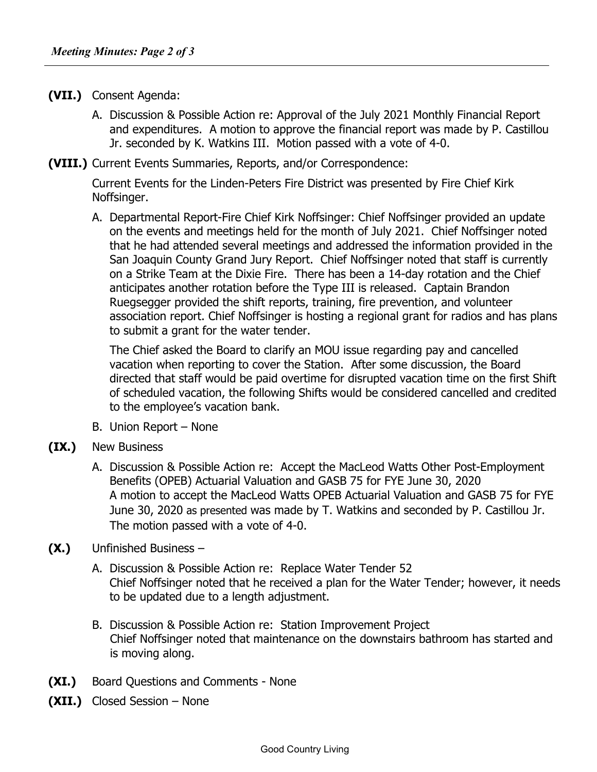- **(VII.)** Consent Agenda:
	- A. Discussion & Possible Action re: Approval of the July 2021 Monthly Financial Report and expenditures. A motion to approve the financial report was made by P. Castillou Jr. seconded by K. Watkins III. Motion passed with a vote of 4-0.
- **(VIII.)** Current Events Summaries, Reports, and/or Correspondence:

Current Events for the Linden-Peters Fire District was presented by Fire Chief Kirk Noffsinger.

A. Departmental Report-Fire Chief Kirk Noffsinger: Chief Noffsinger provided an update on the events and meetings held for the month of July 2021. Chief Noffsinger noted that he had attended several meetings and addressed the information provided in the San Joaquin County Grand Jury Report. Chief Noffsinger noted that staff is currently on a Strike Team at the Dixie Fire. There has been a 14-day rotation and the Chief anticipates another rotation before the Type III is released. Captain Brandon Ruegsegger provided the shift reports, training, fire prevention, and volunteer association report. Chief Noffsinger is hosting a regional grant for radios and has plans to submit a grant for the water tender.

The Chief asked the Board to clarify an MOU issue regarding pay and cancelled vacation when reporting to cover the Station. After some discussion, the Board directed that staff would be paid overtime for disrupted vacation time on the first Shift of scheduled vacation, the following Shifts would be considered cancelled and credited to the employee's vacation bank.

- B. Union Report None
- **(IX.)** New Business
	- A. Discussion & Possible Action re: Accept the MacLeod Watts Other Post-Employment Benefits (OPEB) Actuarial Valuation and GASB 75 for FYE June 30, 2020 A motion to accept the MacLeod Watts OPEB Actuarial Valuation and GASB 75 for FYE June 30, 2020 as presented was made by T. Watkins and seconded by P. Castillou Jr. The motion passed with a vote of 4-0.
- **(X.)** Unfinished Business
	- A. Discussion & Possible Action re: Replace Water Tender 52 Chief Noffsinger noted that he received a plan for the Water Tender; however, it needs to be updated due to a length adjustment.
	- B. Discussion & Possible Action re: Station Improvement Project Chief Noffsinger noted that maintenance on the downstairs bathroom has started and is moving along.
- **(XI.)** Board Questions and Comments None
- **(XII.)** Closed Session None